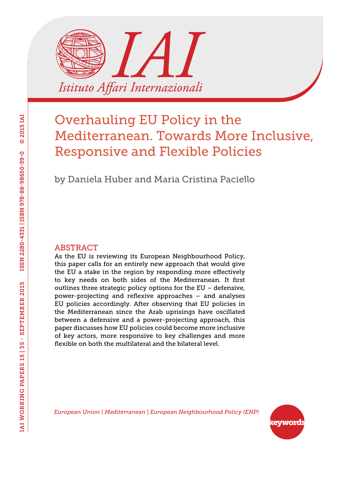

by Daniela Huber and Maria Cristina Paciello

#### ABSTRACT

As the EU is reviewing its European Neighbourhood Policy, this paper calls for an entirely new approach that would give the EU a stake in the region by responding more effectively to key needs on both sides of the Mediterranean. It first outlines three strategic policy options for the EU – defensive, power-projecting and reflexive approaches – and analyses EU policies accordingly. After observing that EU policies in the Mediterranean since the Arab uprisings have oscillated between a defensive and a power-projecting approach, this paper discusses how EU policies could become more inclusive of key actors, more responsive to key challenges and more flexible on both the multilateral and the bilateral level.

*European Union | Mediterranean | European Neighbourhood Policy (ENP)*

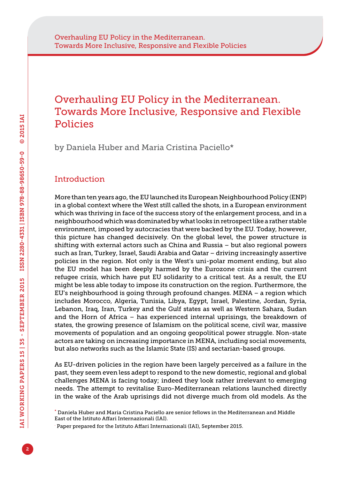by Daniela Huber and Maria Cristina Paciello\*

## **Introduction**

More than ten years ago, the EU launched its European Neighbourhood Policy (ENP) in a global context where the West still called the shots, in a European environment which was thriving in face of the success story of the enlargement process, and in a neighbourhood which was dominated by what looks in retrospect like a rather stable environment, imposed by autocracies that were backed by the EU. Today, however, this picture has changed decisively. On the global level, the power structure is shifting with external actors such as China and Russia – but also regional powers such as Iran, Turkey, Israel, Saudi Arabia and Qatar – driving increasingly assertive policies in the region. Not only is the West's uni-polar moment ending, but also the EU model has been deeply harmed by the Eurozone crisis and the current refugee crisis, which have put EU solidarity to a critical test. As a result, the EU might be less able today to impose its construction on the region. Furthermore, the EU's neighbourhood is going through profound changes. MENA – a region which includes Morocco, Algeria, Tunisia, Libya, Egypt, Israel, Palestine, Jordan, Syria, Lebanon, Iraq, Iran, Turkey and the Gulf states as well as Western Sahara, Sudan and the Horn of Africa – has experienced internal uprisings, the breakdown of states, the growing presence of Islamism on the political scene, civil war, massive movements of population and an ongoing geopolitical power struggle. Non-state actors are taking on increasing importance in MENA, including social movements, but also networks such as the Islamic State (IS) and sectarian-based groups.

As EU-driven policies in the region have been largely perceived as a failure in the past, they seem even less adept to respond to the new domestic, regional and global challenges MENA is facing today; indeed they look rather irrelevant to emerging needs. The attempt to revitalise Euro-Mediterranean relations launched directly in the wake of the Arab uprisings did not diverge much from old models. As the

<sup>\*</sup> Daniela Huber and Maria Cristina Paciello are senior fellows in the Mediterranean and Middle East of the Istituto Affari Internazionali (IAI).

<sup>.</sup> Paper prepared for the Istituto Affari Internazionali (IAI), September 2015.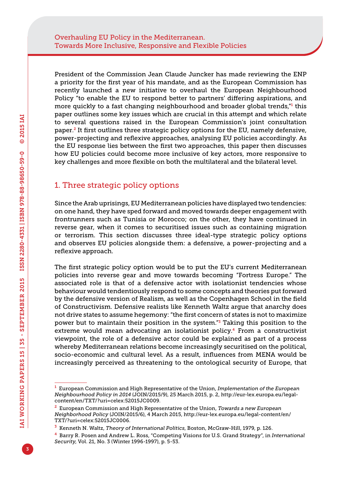President of the Commission Jean Claude Juncker has made reviewing the ENP a priority for the first year of his mandate, and as the European Commission has recently launched a new initiative to overhaul the European Neighbourhood Policy "to enable the EU to respond better to partners' differing aspirations, and more quickly to a fast changing neighbourhood and broader global trends,"1 this paper outlines some key issues which are crucial in this attempt and which relate to several questions raised in the European Commission's joint consultation paper.2 It first outlines three strategic policy options for the EU, namely defensive, power-projecting and reflexive approaches, analysing EU policies accordingly. As the EU response lies between the first two approaches, this paper then discusses how EU policies could become more inclusive of key actors, more responsive to key challenges and more flexible on both the multilateral and the bilateral level.

### 1. Three strategic policy options

Since the Arab uprisings, EU Mediterranean policies have displayed two tendencies: on one hand, they have sped forward and moved towards deeper engagement with frontrunners such as Tunisia or Morocco; on the other, they have continued in reverse gear, when it comes to securitised issues such as containing migration or terrorism. This section discusses three ideal-type strategic policy options and observes EU policies alongside them: a defensive, a power-projecting and a reflexive approach.

The first strategic policy option would be to put the EU's current Mediterranean policies into reverse gear and move towards becoming "Fortress Europe." The associated role is that of a defensive actor with isolationist tendencies whose behaviour would tendentiously respond to some concepts and theories put forward by the defensive version of Realism, as well as the Copenhagen School in the field of Constructivism. Defensive realists like Kenneth Waltz argue that anarchy does not drive states to assume hegemony: "the first concern of states is not to maximize power but to maintain their position in the system."3 Taking this position to the extreme would mean advocating an isolationist policy.<sup>4</sup> From a constructivist viewpoint, the role of a defensive actor could be explained as part of a process whereby Mediterranean relations become increasingly securitised on the political, socio-economic and cultural level. As a result, influences from MENA would be increasingly perceived as threatening to the ontological security of Europe, that

<sup>1</sup> European Commission and High Representative of the Union, *Implementation of the European Neighbourhood Policy in 2014* (JOIN/2015/9), 25 March 2015, p. 2, [http://eur-lex.europa.eu/legal](http://eur-lex.europa.eu/legal-content/en/TXT/?uri=celex:52015JC0009)[content/en/TXT/?uri=celex:52015JC0009.](http://eur-lex.europa.eu/legal-content/en/TXT/?uri=celex:52015JC0009)

<sup>2</sup> European Commission and High Representative of the Union, *Towards a new European Neighborhood Policy* (JOIN/2015/6), 4 March 2015, [http://eur-lex.europa.eu/legal-content/en/](http://eur-lex.europa.eu/legal-content/en/TXT/?uri=celex:52015JC0006) [TXT/?uri=celex:52015JC0006.](http://eur-lex.europa.eu/legal-content/en/TXT/?uri=celex:52015JC0006)

<sup>3</sup> Kenneth N. Waltz, *Theory of International Politics*, Boston, McGraw-Hill, 1979, p. 126.

<sup>4</sup> Barry R. Posen and Andrew L. Ross, "Competing Visions for U.S. Grand Strategy", in *International Security*, Vol. 21, No. 3 (Winter 1996-1997), p. 5-53.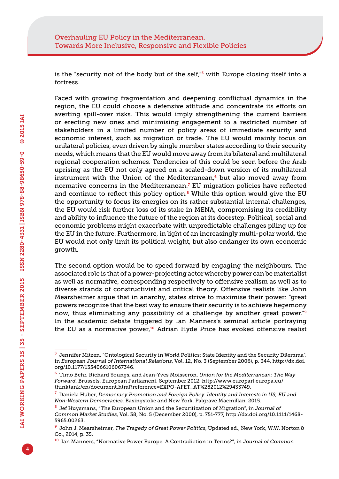is the "security not of the body but of the self, $\frac{1}{5}$  with Europe closing itself into a fortress.

Faced with growing fragmentation and deepening conflictual dynamics in the region, the EU could choose a defensive attitude and concentrate its efforts on averting spill-over risks. This would imply strengthening the current barriers or erecting new ones and minimising engagement to a restricted number of stakeholders in a limited number of policy areas of immediate security and economic interest, such as migration or trade. The EU would mainly focus on unilateral policies, even driven by single member states according to their security needs, which means that the EU would move away from its bilateral and multilateral regional cooperation schemes. Tendencies of this could be seen before the Arab uprising as the EU not only agreed on a scaled-down version of its multilateral instrument with the Union of the Mediterranean, $6$  but also moved away from normative concerns in the Mediterranean.<sup>7</sup> EU migration policies have reflected and continue to reflect this policy option. $8$  While this option would give the EU the opportunity to focus its energies on its rather substantial internal challenges, the EU would risk further loss of its stake in MENA, compromising its credibility and ability to influence the future of the region at its doorstep. Political, social and economic problems might exacerbate with unpredictable challenges piling up for the EU in the future. Furthermore, in light of an increasingly multi-polar world, the EU would not only limit its political weight, but also endanger its own economic growth.

The second option would be to speed forward by engaging the neighbours. The associated role is that of a power-projecting actor whereby power can be materialist as well as normative, corresponding respectively to offensive realism as well as to diverse strands of constructivist and critical theory. Offensive realists like John Mearsheimer argue that in anarchy, states strive to maximise their power: "great powers recognize that the best way to ensure their security is to achieve hegemony now, thus eliminating any possibility of a challenge by another great power."<sup>9</sup> In the academic debate triggered by Ian Manners's seminal article portraying the EU as a normative power, $10$  Adrian Hyde Price has evoked offensive realist

<sup>5</sup> Jennifer Mitzen, "Ontological Security in World Politics: State Identity and the Security Dilemma", in *European Journal of International Relations*, Vol. 12, No. 3 (September 2006), p. 344, [http://dx.doi.](http://dx.doi.org/10.1177/1354066106067346) [org/10.1177/1354066106067346.](http://dx.doi.org/10.1177/1354066106067346)

<sup>6</sup> Timo Behr, Richard Youngs, and Jean-Yves Moisseron, *Union for the Mediterranean: The Way Forward*, Brussels, European Parliament, September 2012, [http://www.europarl.europa.eu/](http://www.europarl.europa.eu/thinktank/en/document.html?reference=EXPO-AFET_AT%282012%29433749) [thinktank/en/document.html?reference=EXPO-AFET\\_AT%282012%29433749.](http://www.europarl.europa.eu/thinktank/en/document.html?reference=EXPO-AFET_AT%282012%29433749)

<sup>7</sup> Daniela Huber, *Democracy Promotion and Foreign Policy. Identity and Interests in US, EU and Non-Western Democracies*, Basingstoke and New York, Palgrave Macmillan, 2015.

<sup>8</sup> Jef Huysmans, "The European Union and the Securitization of Migration", in *Journal of Common Market Studies*, Vol. 38, No. 5 (December 2000), p. 751-777, [http://dx.doi.org/10.1111/1468-](http://dx.doi.org/10.1111/1468-5965.00263) [5965.00263.](http://dx.doi.org/10.1111/1468-5965.00263)

<sup>9</sup> John J. Mearsheimer, *The Tragedy of Great Power Politics*, Updated ed., New York, W.W. Norton & Co,, 2014, p. 35.

<sup>10</sup> Ian Manners, "Normative Power Europe: A Contradiction in Terms?", in *Journal of Common*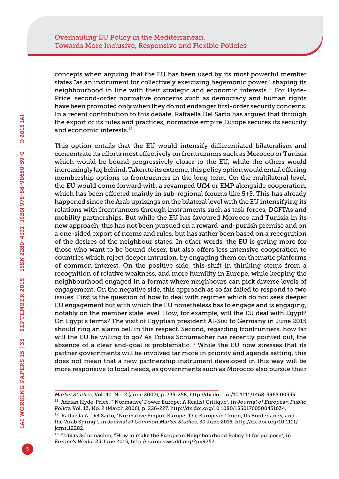concepts when arguing that the EU has been used by its most powerful member states "as an instrument for collectively exercising hegemonic power," shaping its neighbourhood in line with their strategic and economic interests.<sup>11</sup> For Hyde-Price, second-order normative concerns such as democracy and human rights have been promoted only when they do not endanger first-order security concerns. In a recent contribution to this debate, Raffaella Del Sarto has argued that through the export of its rules and practices, normative empire Europe secures its security and economic interests.<sup>12</sup>

This option entails that the EU would intensify differentiated bilateralism and concentrate its efforts most effectively on frontrunners such as Morocco or Tunisia which would be bound progressively closer to the EU, while the others would increasingly lag behind. Taken to its extreme, this policy option would entail offering membership options to frontrunners in the long term. On the multilateral level, the EU would come forward with a revamped UfM or EMP alongside cooperation, which has been effected mainly in sub-regional forums like 5+5. This has already happened since the Arab uprisings on the bilateral level with the EU intensifying its relations with frontrunners through instruments such as task forces, DCFTAs and mobility partnerships. But while the EU has favoured Morocco and Tunisia in its new approach, this has not been pursued on a reward-and-punish premise and on a one-sided export of norms and rules, but has rather been based on a recognition of the desires of the neighbour states. In other words, the EU is giving more for those who want to be bound closer, but also offers less intensive cooperation to countries which reject deeper intrusion, by engaging them on thematic platforms of common interest. On the positive side, this shift in thinking stems from a recognition of relative weakness, and more humility in Europe, while keeping the neighbourhood engaged in a format where neighbours can pick diverse levels of engagement. On the negative side, this approach as so far failed to respond to two issues. First is the question of how to deal with regimes which do not seek deeper EU engagement but with which the EU nonetheless has to engage and is engaging, notably on the member state level. How, for example, will the EU deal with Egypt? On Egypt's terms? The visit of Egyptian president Al-Sisi to Germany in June 2015 should ring an alarm bell in this respect. Second, regarding frontrunners, how far will the EU be willing to go? As Tobias Schumacher has recently pointed out, the absence of a clear end-goal is problematic.<sup>13</sup> While the EU now stresses that its partner governments will be involved far more in priority and agenda setting, this does not mean that a new partnership instrument developed in this way will be more responsive to local needs, as governments such as Morocco also pursue their

*Market Studies*, Vol. 40, No. 2 (June 2002), p. 235-258, [http://dx.doi.org/10.1111/1468-5965.00353.](http://dx.doi.org/10.1111/1468-5965.00353)

<sup>11</sup> Adrian Hyde-Price, "'Normative' Power Europe: A Realist Critique", in *Journal of European Public Policy*, Vol. 13, No. 2 (March 2006), p. 226-227, [http://dx.doi.org/10.1080/13501760500451634.](http://dx.doi.org/10.1080/13501760500451634)

<sup>&</sup>lt;sup>12</sup> Raffaella A. Del Sarto, "Normative Empire Europe: The European Union, Its Borderlands, and the 'Arab Spring'", in *Journal of Common Market Studies*, 30 June 2015, [http://dx.doi.org/10.1111/](http://dx.doi.org/10.1111/jcms.12282) [jcms.12282](http://dx.doi.org/10.1111/jcms.12282).

 $13$  Tobias Schumacher, "How to make the European Neighbourhood Policy fit for purpose", in *Europe's World*, 25 June 2015, [http://europesworld.org/?p=9252.](http://europesworld.org/?p=9252)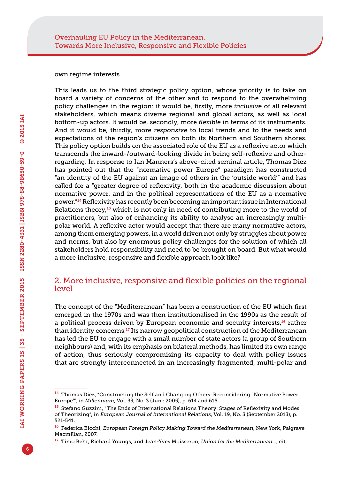own regime interests.

This leads us to the third strategic policy option, whose priority is to take on board a variety of concerns of the other and to respond to the overwhelming policy challenges in the region: it would be, firstly, more *inclusive* of all relevant stakeholders, which means diverse regional and global actors, as well as local bottom-up actors. It would be, secondly, more *flexible* in terms of its instruments. And it would be, thirdly, more *responsive* to local trends and to the needs and expectations of the region's citizens on both its Northern and Southern shores. This policy option builds on the associated role of the EU as a reflexive actor which transcends the inward-/outward-looking divide in being self-reflexive and otherregarding. In response to Ian Manners's above-cited seminal article, Thomas Diez has pointed out that the "normative power Europe" paradigm has constructed "an identity of the EU against an image of others in the 'outside world'" and has called for a "greater degree of reflexivity, both in the academic discussion about normative power, and in the political representations of the EU as a normative power."<sup>14</sup> Reflexivity has recently been becoming an important issue in International Relations theory, $15$  which is not only in need of contributing more to the world of practitioners, but also of enhancing its ability to analyse an increasingly multipolar world. A reflexive actor would accept that there are many normative actors, among them emerging powers, in a world driven not only by struggles about power and norms, but also by enormous policy challenges for the solution of which all stakeholders hold responsibility and need to be brought on board. But what would a more inclusive, responsive and flexible approach look like?

#### 2. More inclusive, responsive and flexible policies on the regional level

The concept of the "Mediterranean" has been a construction of the EU which first emerged in the 1970s and was then institutionalised in the 1990s as the result of a political process driven by European economic and security interests,<sup>16</sup> rather than identity concerns.<sup>17</sup> Its narrow geopolitical construction of the Mediterranean has led the EU to engage with a small number of state actors (a group of Southern neighbours) and, with its emphasis on bilateral methods, has limited its own range of action, thus seriously compromising its capacity to deal with policy issues that are strongly interconnected in an increasingly fragmented, multi-polar and

<sup>14</sup> Thomas Diez, "Constructing the Self and Changing Others: Reconsidering `Normative Power Europe'", in *Millennium*, Vol. 33, No. 3 (June 2005), p. 614 and 615.

<sup>15</sup> Stefano Guzzini, "The Ends of International Relations Theory: Stages of Reflexivity and Modes of Theorizing", in *European Journal of International Relations*, Vol. 19, No. 3 (September 2013), p. 521-541.

<sup>16</sup> Federica Bicchi, *European Foreign Policy Making Toward the Mediterranean*, New York, Palgrave Macmillan, 2007.

<sup>17</sup> Timo Behr, Richard Youngs, and Jean-Yves Moisseron, *Union for the Mediterranean...*, cit.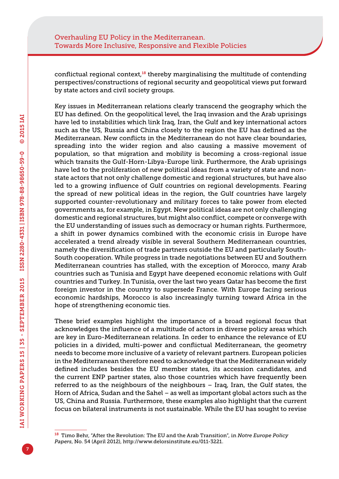conflictual regional context, $18$  thereby marginalising the multitude of contending perspectives/constructions of regional security and geopolitical views put forward by state actors and civil society groups.

Key issues in Mediterranean relations clearly transcend the geography which the EU has defined. On the geopolitical level, the Iraq invasion and the Arab uprisings have led to instabilities which link Iraq, Iran, the Gulf and key international actors such as the US, Russia and China closely to the region the EU has defined as the Mediterranean. New conflicts in the Mediterranean do not have clear boundaries, spreading into the wider region and also causing a massive movement of population, so that migration and mobility is becoming a cross-regional issue which transits the Gulf-Horn-Libya-Europe link. Furthermore, the Arab uprisings have led to the proliferation of new political ideas from a variety of state and nonstate actors that not only challenge domestic and regional structures, but have also led to a growing influence of Gulf countries on regional developments. Fearing the spread of new political ideas in the region, the Gulf countries have largely supported counter-revolutionary and military forces to take power from elected governments as, for example, in Egypt. New political ideas are not only challenging domestic and regional structures, but might also conflict, compete or converge with the EU understanding of issues such as democracy or human rights. Furthermore, a shift in power dynamics combined with the economic crisis in Europe have accelerated a trend already visible in several Southern Mediterranean countries, namely the diversification of trade partners outside the EU and particularly South-South cooperation. While progress in trade negotiations between EU and Southern Mediterranean countries has stalled, with the exception of Morocco, many Arab countries such as Tunisia and Egypt have deepened economic relations with Gulf countries and Turkey. In Tunisia, over the last two years Qatar has become the first foreign investor in the country to supersede France. With Europe facing serious economic hardships, Morocco is also increasingly turning toward Africa in the hope of strengthening economic ties.

These brief examples highlight the importance of a broad regional focus that acknowledges the influence of a multitude of actors in diverse policy areas which are key in Euro-Mediterranean relations. In order to enhance the relevance of EU policies in a divided, multi-power and conflictual Mediterranean, the geometry needs to become more inclusive of a variety of relevant partners. European policies in the Mediterranean therefore need to acknowledge that the Mediterranean widely defined includes besides the EU member states, its accession candidates, and the current ENP partner states, also those countries which have frequently been referred to as the neighbours of the neighbours – Iraq, Iran, the Gulf states, the Horn of Africa, Sudan and the Sahel – as well as important global actors such as the US, China and Russia. Furthermore, these examples also highlight that the current focus on bilateral instruments is not sustainable. While the EU has sought to revise

<sup>18</sup> Timo Behr, "After the Revolution: The EU and the Arab Transition", in *Notre Europe Policy Papers*, No. 54 (April 2012), <http://www.delorsinstitute.eu/011-3221>.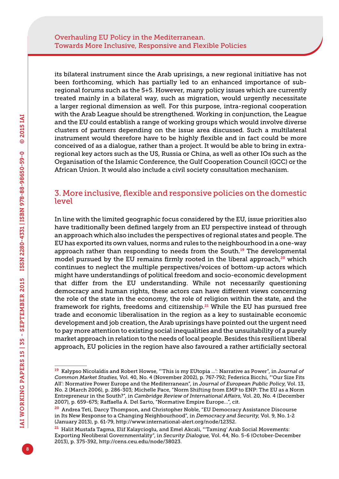its bilateral instrument since the Arab uprisings, a new regional initiative has not been forthcoming, which has partially led to an enhanced importance of subregional forums such as the 5+5. However, many policy issues which are currently treated mainly in a bilateral way, such as migration, would urgently necessitate a larger regional dimension as well. For this purpose, intra-regional cooperation with the Arab League should be strengthened. Working in conjunction, the League and the EU could establish a range of working groups which would involve diverse clusters of partners depending on the issue area discussed. Such a multilateral instrument would therefore have to be highly flexible and in fact could be more conceived of as a dialogue, rather than a project. It would be able to bring in extraregional key actors such as the US, Russia or China, as well as other IOs such as the Organisation of the Islamic Conference, the Gulf Cooperation Council (GCC) or the African Union. It would also include a civil society consultation mechanism.

#### 3. More inclusive, flexible and responsive policies on the domestic level

In line with the limited geographic focus considered by the EU, issue priorities also have traditionally been defined largely from an EU perspective instead of through an approach which also includes the perspectives of regional states and people. The EU has exported its own values, norms and rules to the neighbourhood in a one-way approach rather than responding to needs from the South.19 The developmental model pursued by the EU remains firmly rooted in the liberal approach,<sup>20</sup> which continues to neglect the multiple perspectives/voices of bottom-up actors which might have understandings of political freedom and socio-economic development that differ from the EU understanding. While not necessarily questioning democracy and human rights, these actors can have different views concerning the role of the state in the economy, the role of religion within the state, and the framework for rights, freedoms and citizenship.<sup>21</sup> While the EU has pursued free trade and economic liberalisation in the region as a key to sustainable economic development and job creation, the Arab uprisings have pointed out the urgent need to pay more attention to existing social inequalities and the unsuitability of a purely market approach in relation to the needs of local people. Besides this resilient liberal approach, EU policies in the region have also favoured a rather artificially sectoral

<sup>19</sup> Kalypso Nicolaïdis and Robert Howse, "'This is my EUtopia ...': Narrative as Power", in *Journal of Common Market Studies*, Vol. 40, No. 4 (November 2002), p. 767-792; Federica Bicchi, "'Our Size Fits All': Normative Power Europe and the Mediterranean", in *Journal of European Public Policy*, Vol. 13, No. 2 (March 2006), p. 286-303; Michelle Pace, "Norm Shifting from EMP to ENP: The EU as a Norm Entrepreneur in the South?", in *Cambridge Review of International Affairs*, Vol. 20, No. 4 (December 2007), p. 659-675; Raffaella A. Del Sarto, "Normative Empire Europe…", cit.

<sup>&</sup>lt;sup>20</sup> Andrea Teti, Darcy Thompson, and Christopher Noble, "EU Democracy Assistance Discourse in Its New Response to a Changing Neighbourhood", in *Democracy and Security*, Vol. 9, No. 1-2 (January 2013), p. 61-79, [http://www.international-alert.org/node/12352.](http://www.international-alert.org/node/12352)

<sup>&</sup>lt;sup>21</sup> Halit Mustafa Tagma, Elif Kalaycioglu, and Emel Akcali, "'Taming' Arab Social Movements: Exporting Neoliberal Governmentality", in *Security Dialogue*, Vol. 44, No. 5-6 (October-December 2013), p. 375-392, <http://cens.ceu.edu/node/38023>.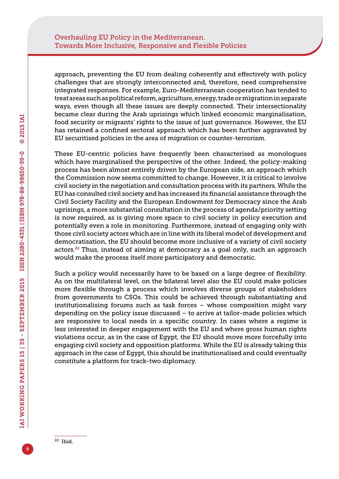approach, preventing the EU from dealing coherently and effectively with policy challenges that are strongly interconnected and, therefore, need comprehensive integrated responses. For example, Euro-Mediterranean cooperation has tended to treat areas such as political reform, agriculture, energy, trade or migration in separate ways, even though all these issues are deeply connected. Their intersectionality became clear during the Arab uprisings which linked economic marginalisation, food security or migrants' rights to the issue of just governance. However, the EU has retained a confined sectoral approach which has been further aggravated by EU securitised policies in the area of migration or counter-terrorism.

These EU-centric policies have frequently been characterised as monologues which have marginalised the perspective of the other. Indeed, the policy-making process has been almost entirely driven by the European side, an approach which the Commission now seems committed to change. However, it is critical to involve civil society in the negotiation and consultation process with its partners. While the EU has consulted civil society and has increased its financial assistance through the Civil Society Facility and the European Endowment for Democracy since the Arab uprisings, a more substantial consultation in the process of agenda/priority setting is now required, as is giving more space to civil society in policy execution and potentially even a role in monitoring. Furthermore, instead of engaging only with those civil society actors which are in line with its liberal model of development and democratisation, the EU should become more inclusive of a variety of civil society actors.<sup>22</sup> Thus, instead of aiming at democracy as a goal only, such an approach would make the process itself more participatory and democratic.

Such a policy would necessarily have to be based on a large degree of flexibility. As on the multilateral level, on the bilateral level also the EU could make policies more flexible through a process which involves diverse groups of stakeholders from governments to CSOs. This could be achieved through substantiating and institutionalising forums such as task forces – whose composition might vary depending on the policy issue discussed – to arrive at tailor-made policies which are responsive to local needs in a specific country. In cases where a regime is less interested in deeper engagement with the EU and where gross human rights violations occur, as in the case of Egypt, the EU should move more forcefully into engaging civil society and opposition platforms. While the EU is already taking this approach in the case of Egypt, this should be institutionalised and could eventually constitute a platform for track-two diplomacy.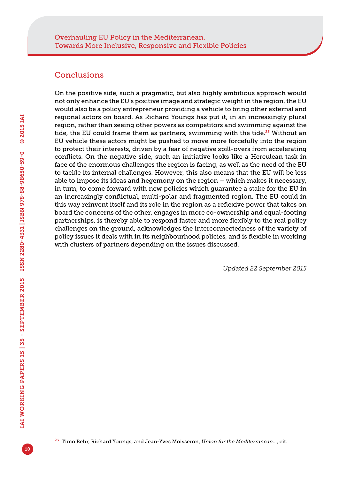### **Conclusions**

On the positive side, such a pragmatic, but also highly ambitious approach would not only enhance the EU's positive image and strategic weight in the region, the EU would also be a policy entrepreneur providing a vehicle to bring other external and regional actors on board. As Richard Youngs has put it, in an increasingly plural region, rather than seeing other powers as competitors and swimming against the tide, the EU could frame them as partners, swimming with the tide.<sup>23</sup> Without an EU vehicle these actors might be pushed to move more forcefully into the region to protect their interests, driven by a fear of negative spill-overs from accelerating conflicts. On the negative side, such an initiative looks like a Herculean task in face of the enormous challenges the region is facing, as well as the need of the EU to tackle its internal challenges. However, this also means that the EU will be less able to impose its ideas and hegemony on the region – which makes it necessary, in turn, to come forward with new policies which guarantee a stake for the EU in an increasingly conflictual, multi-polar and fragmented region. The EU could in this way reinvent itself and its role in the region as a reflexive power that takes on board the concerns of the other, engages in more co-ownership and equal-footing partnerships, is thereby able to respond faster and more flexibly to the real policy challenges on the ground, acknowledges the interconnectedness of the variety of policy issues it deals with in its neighbourhood policies, and is flexible in working with clusters of partners depending on the issues discussed.

*Updated 22 September 2015*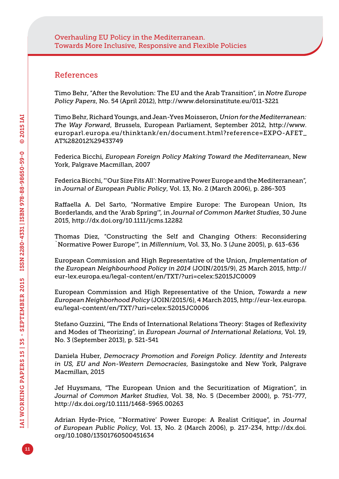#### References

Timo Behr, "After the Revolution: The EU and the Arab Transition", in *Notre Europe Policy Papers*, No. 54 (April 2012), [http://www.delorsinstitute.eu/011-](http://www.delorsinstitute.eu/011)3221

Timo Behr, Richard Youngs, and Jean-Yves Moisseron, *Union for the Mediterranean: The Way Forward*, Brussels, European Parliament, September 2012, [http://www.](http://www.europarl.europa.eu/thinktank/en/document.html?reference=EXPO-AFET_AT%282012%29433749) [europarl.europa.eu/thinktank/en/document.html?reference=EXPO-AFET\\_](http://www.europarl.europa.eu/thinktank/en/document.html?reference=EXPO-AFET_AT%282012%29433749) [AT%282012%29433749](http://www.europarl.europa.eu/thinktank/en/document.html?reference=EXPO-AFET_AT%282012%29433749)

Federica Bicchi, *European Foreign Policy Making Toward the Mediterranean*, New York, Palgrave Macmillan, 2007

Federica Bicchi, "'Our Size Fits All': Normative Power Europe and the Mediterranean", in *Journal of European Public Policy*, Vol. 13, No. 2 (March 2006), p. 286-303

Raffaella A. Del Sarto, "Normative Empire Europe: The European Union, Its Borderlands, and the 'Arab Spring'", in *Journal of Common Market Studies*, 30 June 2015,<http://dx.doi.org/10.1111/jcms.12282>

Thomas Diez, "Constructing the Self and Changing Others: Reconsidering `Normative Power Europe'", in *Millennium*, Vol. 33, No. 3 (June 2005), p. 613-636

European Commission and High Representative of the Union, *Implementation of the European Neighbourhood Policy in 2014* (JOIN/2015/9), 25 March 2015, [http://](http://eur-lex.europa.eu/legal-content/en/TXT/?uri=celex:52015JC0009) [eur-lex.europa.eu/legal-content/en/TXT/?uri=celex:52015JC0009](http://eur-lex.europa.eu/legal-content/en/TXT/?uri=celex:52015JC0009)

European Commission and High Representative of the Union, *Towards a new European Neighborhood Policy* (JOIN/2015/6), 4 March 2015, [http://eur-lex.europa.](http://eur-lex.europa.eu/legal-content/en/TXT/?uri=celex:52015JC0006) [eu/legal-content/en/TXT/?uri=celex:52015JC0006](http://eur-lex.europa.eu/legal-content/en/TXT/?uri=celex:52015JC0006)

Stefano Guzzini, "The Ends of International Relations Theory: Stages of Reflexivity and Modes of Theorizing", in *European Journal of International Relations*, Vol. 19, No. 3 (September 2013), p. 521-541

Daniela Huber, *Democracy Promotion and Foreign Policy. Identity and Interests in US, EU and Non-Western Democracies*, Basingstoke and New York, Palgrave Macmillan, 2015

Jef Huysmans, "The European Union and the Securitization of Migration", in *Journal of Common Market Studies*, Vol. 38, No. 5 (December 2000), p. 751-777, <http://dx.doi.org/10.1111/1468-5965.00263>

Adrian Hyde-Price, "'Normative' Power Europe: A Realist Critique", in *Journal of European Public Policy*, Vol. 13, No. 2 (March 2006), p. 217-234, [http://dx.doi.](http://dx.doi.org/10.1080/13501760500451634) [org/10.1080/13501760500451634](http://dx.doi.org/10.1080/13501760500451634)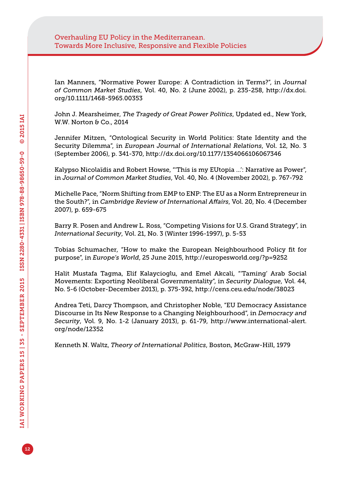Ian Manners, "Normative Power Europe: A Contradiction in Terms?", in *Journal of Common Market Studies*, Vol. 40, No. 2 (June 2002), p. 235-258, [http://dx.doi.](http://dx.doi.org/10.1111/1468-5965.00353) [org/10.1111/1468-5965.00353](http://dx.doi.org/10.1111/1468-5965.00353)

John J. Mearsheimer, *The Tragedy of Great Power Politics*, Updated ed., New York, W.W. Norton & Co., 2014

Jennifer Mitzen, "Ontological Security in World Politics: State Identity and the Security Dilemma", in *European Journal of International Relations*, Vol. 12, No. 3 (September 2006), p. 341-370,<http://dx.doi.org/10.1177/1354066106067346>

Kalypso Nicolaïdis and Robert Howse, "'This is my EUtopia ...': Narrative as Power", in *Journal of Common Market Studies*, Vol. 40, No. 4 (November 2002), p. 767-792

Michelle Pace, "Norm Shifting from EMP to ENP: The EU as a Norm Entrepreneur in the South?", in *Cambridge Review of International Affairs*, Vol. 20, No. 4 (December 2007), p. 659-675

Barry R. Posen and Andrew L. Ross, "Competing Visions for U.S. Grand Strategy", in *International Security*, Vol. 21, No. 3 (Winter 1996-1997), p. 5-53

Tobias Schumacher, "How to make the European Neighbourhood Policy fit for purpose", in *Europe's World*, 25 June 2015,<http://europesworld.org/?p=9252>

Halit Mustafa Tagma, Elif Kalaycioglu, and Emel Akcali, "'Taming' Arab Social Movements: Exporting Neoliberal Governmentality", in *Security Dialogue*, Vol. 44, No. 5-6 (October-December 2013), p. 375-392, <http://cens.ceu.edu/node/38023>

Andrea Teti, Darcy Thompson, and Christopher Noble, "EU Democracy Assistance Discourse in Its New Response to a Changing Neighbourhood", in *Democracy and Security*, Vol. 9, No. 1-2 (January 2013), p. 61-79, [http://www.international-alert.](http://www.international-alert.org/node/12352) [org/node/12352](http://www.international-alert.org/node/12352)

Kenneth N. Waltz, *Theory of International Politics*, Boston, McGraw-Hill, 1979